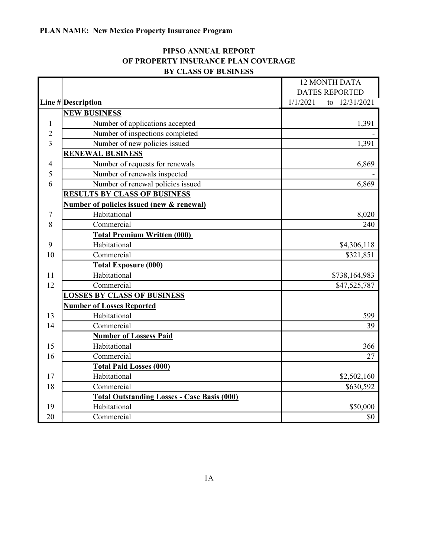## PIPSO ANNUAL REPORT OF PROPERTY INSURANCE PLAN COVERAGE BY CLASS OF BUSINESS

|                |                                                    | <b>12 MONTH DATA</b>      |  |
|----------------|----------------------------------------------------|---------------------------|--|
|                |                                                    | <b>DATES REPORTED</b>     |  |
|                | Line $\#$ Description                              | 1/1/2021<br>to 12/31/2021 |  |
|                | <b>NEW BUSINESS</b>                                |                           |  |
| $\mathbf{1}$   | Number of applications accepted                    | 1,391                     |  |
| $\overline{2}$ | Number of inspections completed                    |                           |  |
| 3              | Number of new policies issued                      | 1,391                     |  |
|                | <b>RENEWAL BUSINESS</b>                            |                           |  |
| 4              | Number of requests for renewals                    | 6,869                     |  |
| 5              | Number of renewals inspected                       |                           |  |
| 6              | Number of renewal policies issued                  | 6,869                     |  |
|                | <b>RESULTS BY CLASS OF BUSINESS</b>                |                           |  |
|                | Number of policies issued (new & renewal)          |                           |  |
| 7              | Habitational                                       | 8,020                     |  |
| 8              | Commercial                                         | 240                       |  |
|                | <b>Total Premium Written (000)</b>                 |                           |  |
| 9              | Habitational                                       | \$4,306,118               |  |
| 10             | Commercial                                         | \$321,851                 |  |
|                | <b>Total Exposure (000)</b>                        |                           |  |
| 11             | Habitational                                       | \$738,164,983             |  |
| 12             | Commercial                                         | \$47,525,787              |  |
|                | <b>LOSSES BY CLASS OF BUSINESS</b>                 |                           |  |
|                | <b>Number of Losses Reported</b>                   |                           |  |
| 13             | Habitational                                       | 599                       |  |
| 14             | Commercial                                         | 39                        |  |
|                | <b>Number of Lossess Paid</b>                      |                           |  |
| 15             | Habitational                                       | 366                       |  |
| 16             | Commercial                                         | 27                        |  |
|                | <b>Total Paid Losses (000)</b>                     |                           |  |
| 17             | Habitational                                       | \$2,502,160               |  |
| 18             | Commercial                                         | \$630,592                 |  |
|                | <b>Total Outstanding Losses - Case Basis (000)</b> |                           |  |
| 19             | Habitational                                       | \$50,000                  |  |
| 20             | Commercial                                         | \$0                       |  |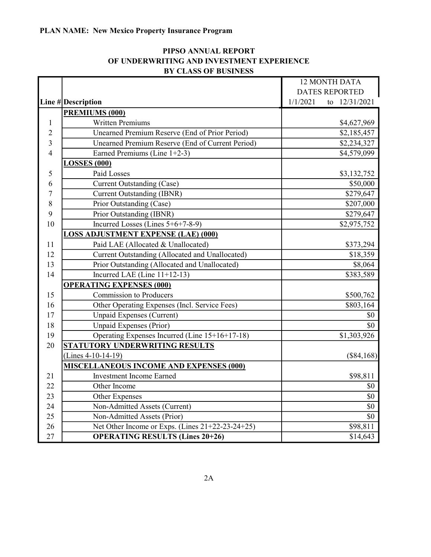|    | D I CLASS OF DUSINESS                            |                           |  |
|----|--------------------------------------------------|---------------------------|--|
|    |                                                  | <b>12 MONTH DATA</b>      |  |
|    |                                                  | <b>DATES REPORTED</b>     |  |
|    | Line # Description                               | 1/1/2021<br>to 12/31/2021 |  |
|    | PREMIUMS (000)                                   |                           |  |
| 1  | <b>Written Premiums</b>                          | \$4,627,969               |  |
| 2  | Unearned Premium Reserve (End of Prior Period)   | \$2,185,457               |  |
| 3  | Unearned Premium Reserve (End of Current Period) | \$2,234,327               |  |
| 4  | Earned Premiums (Line 1+2-3)                     | \$4,579,099               |  |
|    | <b>LOSSES (000)</b>                              |                           |  |
| 5  | Paid Losses                                      | \$3,132,752               |  |
| 6  | <b>Current Outstanding (Case)</b>                | \$50,000                  |  |
| 7  | <b>Current Outstanding (IBNR)</b>                | \$279,647                 |  |
| 8  | Prior Outstanding (Case)                         | \$207,000                 |  |
| 9  | Prior Outstanding (IBNR)                         | \$279,647                 |  |
| 10 | Incurred Losses (Lines 5+6+7-8-9)                | \$2,975,752               |  |
|    | <b>LOSS ADJUSTMENT EXPENSE (LAE) (000)</b>       |                           |  |
| 11 | Paid LAE (Allocated & Unallocated)               | \$373,294                 |  |
| 12 | Current Outstanding (Allocated and Unallocated)  | \$18,359                  |  |
| 13 | Prior Outstanding (Allocated and Unallocated)    | \$8,064                   |  |
| 14 | Incurred LAE (Line $11+12-13$ )                  | \$383,589                 |  |
|    | <b>OPERATING EXPENSES (000)</b>                  |                           |  |
| 15 | <b>Commission to Producers</b>                   | \$500,762                 |  |
| 16 | Other Operating Expenses (Incl. Service Fees)    | \$803,164                 |  |
| 17 | Unpaid Expenses (Current)                        | \$0                       |  |
| 18 | Unpaid Expenses (Prior)                          | \$0                       |  |
| 19 | Operating Expenses Incurred (Line 15+16+17-18)   | \$1,303,926               |  |
| 20 | <b>STATUTORY UNDERWRITING RESULTS</b>            |                           |  |
|    | $(Lines 4-10-14-19)$                             | $($ \$84,168) $ $         |  |
|    | <b>MISCELLANEOUS INCOME AND EXPENSES (000)</b>   |                           |  |
| 21 | <b>Investment Income Earned</b>                  | \$98,811                  |  |
| 22 | Other Income                                     | \$0                       |  |
| 23 | Other Expenses                                   | \$0                       |  |
| 24 | Non-Admitted Assets (Current)                    | \$0                       |  |
| 25 | Non-Admitted Assets (Prior)                      | \$0                       |  |
| 26 | Net Other Income or Exps. (Lines 21+22-23-24+25) | \$98,811                  |  |
| 27 | <b>OPERATING RESULTS (Lines 20+26)</b>           | \$14,643                  |  |

# PIPSO ANNUAL REPORT OF UNDERWRITING AND INVESTMENT EXPERIENCE BY CLASS OF BUSINESS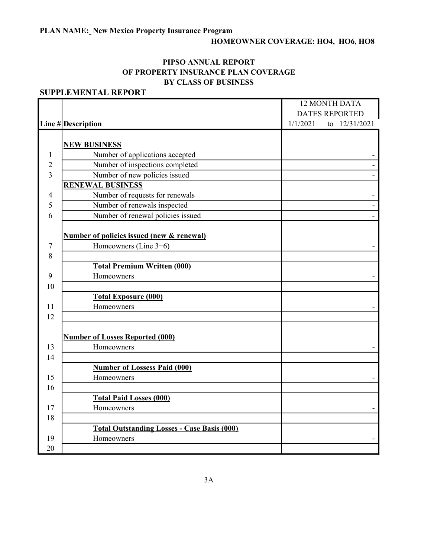# HOMEOWNER COVERAGE: HO4, HO6, HO8

۰

## PIPSO ANNUAL REPORT OF PROPERTY INSURANCE PLAN COVERAGE BY CLASS OF BUSINESS

|    |                                                      | 12 MONTH DATA                                      |  |
|----|------------------------------------------------------|----------------------------------------------------|--|
|    |                                                      | <b>DATES REPORTED</b><br>1/1/2021<br>to 12/31/2021 |  |
|    | Line #Description                                    |                                                    |  |
|    | <b>NEW BUSINESS</b>                                  |                                                    |  |
| 1  | Number of applications accepted                      |                                                    |  |
| 2  | Number of inspections completed                      |                                                    |  |
| 3  | Number of new policies issued                        |                                                    |  |
|    | <b>RENEWAL BUSINESS</b>                              |                                                    |  |
| 4  | Number of requests for renewals                      |                                                    |  |
| 5  | Number of renewals inspected                         |                                                    |  |
| 6  | Number of renewal policies issued                    |                                                    |  |
|    |                                                      |                                                    |  |
|    | <b>Number of policies issued (new &amp; renewal)</b> |                                                    |  |
| 7  | Homeowners (Line $3+6$ )                             |                                                    |  |
| 8  |                                                      |                                                    |  |
|    | <b>Total Premium Written (000)</b>                   |                                                    |  |
| 9  | Homeowners                                           |                                                    |  |
| 10 |                                                      |                                                    |  |
|    | <b>Total Exposure (000)</b>                          |                                                    |  |
| 11 | Homeowners                                           |                                                    |  |
| 12 |                                                      |                                                    |  |
|    |                                                      |                                                    |  |
|    | <b>Number of Losses Reported (000)</b>               |                                                    |  |
| 13 | Homeowners                                           |                                                    |  |
| 14 |                                                      |                                                    |  |
|    | <b>Number of Lossess Paid (000)</b>                  |                                                    |  |
| 15 | Homeowners                                           |                                                    |  |
| 16 |                                                      |                                                    |  |
|    | <b>Total Paid Losses (000)</b>                       |                                                    |  |
| 17 | Homeowners                                           |                                                    |  |
| 18 |                                                      |                                                    |  |
|    | <b>Total Outstanding Losses - Case Basis (000)</b>   |                                                    |  |
| 19 | Homeowners                                           |                                                    |  |
| 20 |                                                      |                                                    |  |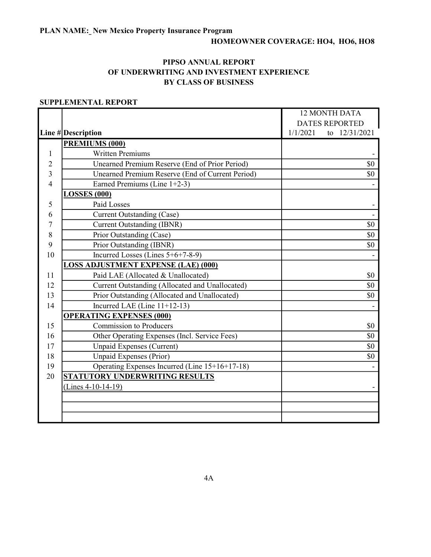#### PIPSO ANNUAL REPORT OF UNDERWRITING AND INVESTMENT EXPERIENCE BY CLASS OF BUSINESS

|    |                                                  | <b>12 MONTH DATA</b>      |  |
|----|--------------------------------------------------|---------------------------|--|
|    |                                                  | <b>DATES REPORTED</b>     |  |
|    | Line #Description                                | to 12/31/2021<br>1/1/2021 |  |
|    | PREMIUMS (000)                                   |                           |  |
| 1  | <b>Written Premiums</b>                          |                           |  |
| 2  | Unearned Premium Reserve (End of Prior Period)   | \$0                       |  |
| 3  | Unearned Premium Reserve (End of Current Period) | \$0                       |  |
| 4  | Earned Premiums (Line 1+2-3)                     |                           |  |
|    | <b>LOSSES (000)</b>                              |                           |  |
| 5  | Paid Losses                                      |                           |  |
| 6  | <b>Current Outstanding (Case)</b>                |                           |  |
| 7  | <b>Current Outstanding (IBNR)</b>                | \$0                       |  |
| 8  | Prior Outstanding (Case)                         | \$0                       |  |
| 9  | Prior Outstanding (IBNR)                         | \$0                       |  |
| 10 | Incurred Losses (Lines 5+6+7-8-9)                |                           |  |
|    | <b>LOSS ADJUSTMENT EXPENSE (LAE) (000)</b>       |                           |  |
| 11 | Paid LAE (Allocated & Unallocated)               | \$0                       |  |
| 12 | Current Outstanding (Allocated and Unallocated)  | \$0                       |  |
| 13 | Prior Outstanding (Allocated and Unallocated)    | \$0                       |  |
| 14 | Incurred LAE (Line $11+12-13$ )                  |                           |  |
|    | <b>OPERATING EXPENSES (000)</b>                  |                           |  |
| 15 | <b>Commission to Producers</b>                   | \$0                       |  |
| 16 | Other Operating Expenses (Incl. Service Fees)    | \$0                       |  |
| 17 | <b>Unpaid Expenses (Current)</b>                 | \$0                       |  |
| 18 | Unpaid Expenses (Prior)                          | \$0                       |  |
| 19 | Operating Expenses Incurred (Line 15+16+17-18)   |                           |  |
| 20 | STATUTORY UNDERWRITING RESULTS                   |                           |  |
|    | (Lines $4-10-14-19$ )                            |                           |  |
|    |                                                  |                           |  |
|    |                                                  |                           |  |
|    |                                                  |                           |  |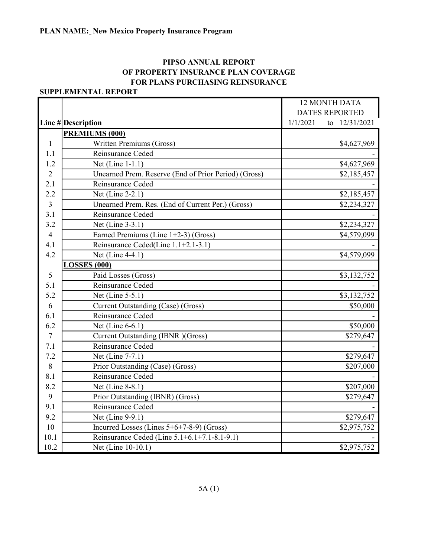## PIPSO ANNUAL REPORT OF PROPERTY INSURANCE PLAN COVERAGE FOR PLANS PURCHASING REINSURANCE

|                |                                                      | <b>12 MONTH DATA</b>      |  |
|----------------|------------------------------------------------------|---------------------------|--|
|                |                                                      | <b>DATES REPORTED</b>     |  |
|                | Line # Description                                   | 1/1/2021<br>to 12/31/2021 |  |
|                | PREMIUMS (000)                                       |                           |  |
| $\mathbf{1}$   | Written Premiums (Gross)                             | \$4,627,969               |  |
| 1.1            | Reinsurance Ceded                                    |                           |  |
| 1.2            | Net (Line 1-1.1)                                     | \$4,627,969               |  |
| $\overline{2}$ | Unearned Prem. Reserve (End of Prior Period) (Gross) | \$2,185,457               |  |
| 2.1            | Reinsurance Ceded                                    |                           |  |
| 2.2            | Net (Line 2-2.1)                                     | \$2,185,457               |  |
| $\overline{3}$ | Unearned Prem. Res. (End of Current Per.) (Gross)    | \$2,234,327               |  |
| 3.1            | Reinsurance Ceded                                    |                           |  |
| 3.2            | Net (Line 3-3.1)                                     | \$2,234,327               |  |
| $\overline{4}$ | Earned Premiums (Line $1+2-3$ ) (Gross)              | \$4,579,099               |  |
| 4.1            | Reinsurance Ceded(Line 1.1+2.1-3.1)                  |                           |  |
| 4.2            | Net (Line 4-4.1)                                     | \$4,579,099               |  |
|                | <b>LOSSES (000)</b>                                  |                           |  |
| 5              | Paid Losses (Gross)                                  | \$3,132,752               |  |
| 5.1            | Reinsurance Ceded                                    |                           |  |
| 5.2            | Net (Line 5-5.1)                                     | \$3,132,752               |  |
| 6              | Current Outstanding (Case) (Gross)                   | \$50,000                  |  |
| 6.1            | Reinsurance Ceded                                    |                           |  |
| 6.2            | Net (Line 6-6.1)                                     | \$50,000                  |  |
| $\tau$         | Current Outstanding (IBNR) (Gross)                   | \$279,647                 |  |
| 7.1            | Reinsurance Ceded                                    |                           |  |
| 7.2            | Net (Line 7-7.1)                                     | \$279,647                 |  |
| 8              | Prior Outstanding (Case) (Gross)                     | \$207,000                 |  |
| 8.1            | Reinsurance Ceded                                    |                           |  |
| 8.2            | Net (Line 8-8.1)                                     | \$207,000                 |  |
| 9              | Prior Outstanding (IBNR) (Gross)                     | \$279,647                 |  |
| 9.1            | Reinsurance Ceded                                    |                           |  |
| 9.2            | Net (Line 9-9.1)                                     | \$279,647                 |  |
| 10             | Incurred Losses (Lines $5+6+7-8-9$ ) (Gross)         | \$2,975,752               |  |
| 10.1           | Reinsurance Ceded (Line 5.1+6.1+7.1-8.1-9.1)         |                           |  |
| 10.2           | Net (Line 10-10.1)                                   | \$2,975,752               |  |